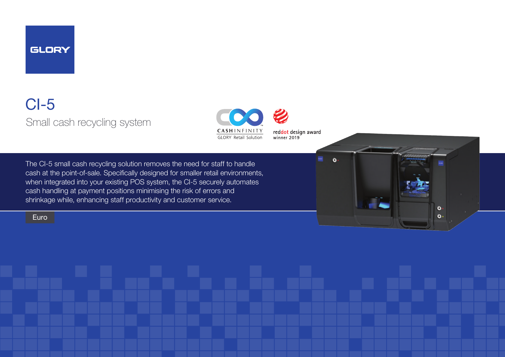

# CI-5 Small cash recycling system



reddot design award winner 2019

The CI-5 small cash recycling solution removes the need for staff to handle cash at the point-of-sale. Specifically designed for smaller retail environments, when integrated into your existing POS system, the CI-5 securely automates cash handling at payment positions minimising the risk of errors and shrinkage while, enhancing staff productivity and customer service.

#### Euro